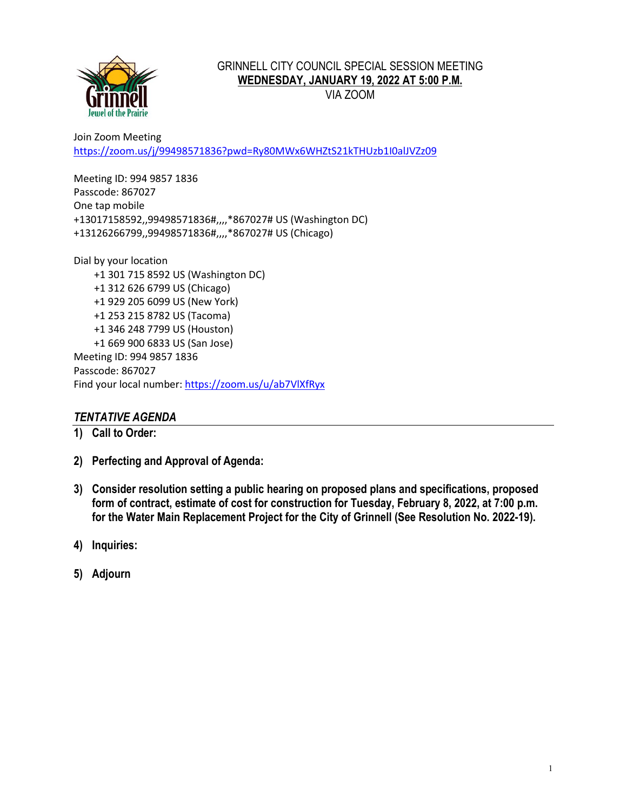

## GRINNELL CITY COUNCIL SPECIAL SESSION MEETING **WEDNESDAY, JANUARY 19, 2022 AT 5:00 P.M.**

VIA ZOOM

Join Zoom Meeting <https://zoom.us/j/99498571836?pwd=Ry80MWx6WHZtS21kTHUzb1I0alJVZz09>

Meeting ID: 994 9857 1836 Passcode: 867027 One tap mobile +13017158592,,99498571836#,,,,\*867027# US (Washington DC) +13126266799,,99498571836#,,,,\*867027# US (Chicago)

Dial by your location +1 301 715 8592 US (Washington DC) +1 312 626 6799 US (Chicago) +1 929 205 6099 US (New York) +1 253 215 8782 US (Tacoma) +1 346 248 7799 US (Houston) +1 669 900 6833 US (San Jose) Meeting ID: 994 9857 1836 Passcode: 867027 Find your local number[: https://zoom.us/u/ab7VlXfRyx](https://zoom.us/u/ab7VlXfRyx)

# *TENTATIVE AGENDA*

- **1) Call to Order:**
- **2) Perfecting and Approval of Agenda:**
- **3) Consider resolution setting a public hearing on proposed plans and specifications, proposed form of contract, estimate of cost for construction for Tuesday, February 8, 2022, at 7:00 p.m. for the Water Main Replacement Project for the City of Grinnell (See Resolution No. 2022-19).**
- **4) Inquiries:**
- **5) Adjourn**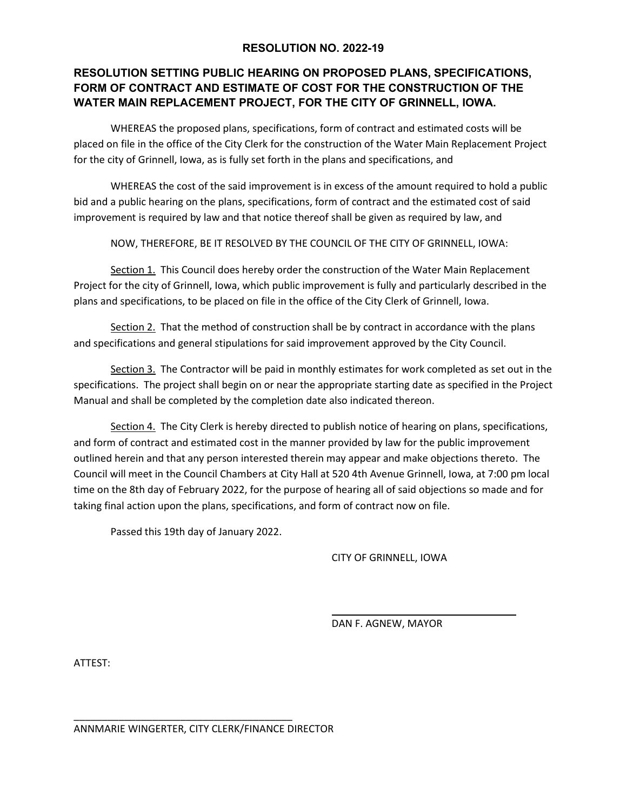### **RESOLUTION NO. 2022-19**

# **RESOLUTION SETTING PUBLIC HEARING ON PROPOSED PLANS, SPECIFICATIONS, FORM OF CONTRACT AND ESTIMATE OF COST FOR THE CONSTRUCTION OF THE WATER MAIN REPLACEMENT PROJECT, FOR THE CITY OF GRINNELL, IOWA.**

WHEREAS the proposed plans, specifications, form of contract and estimated costs will be placed on file in the office of the City Clerk for the construction of the Water Main Replacement Project for the city of Grinnell, Iowa, as is fully set forth in the plans and specifications, and

WHEREAS the cost of the said improvement is in excess of the amount required to hold a public bid and a public hearing on the plans, specifications, form of contract and the estimated cost of said improvement is required by law and that notice thereof shall be given as required by law, and

NOW, THEREFORE, BE IT RESOLVED BY THE COUNCIL OF THE CITY OF GRINNELL, IOWA:

Section 1. This Council does hereby order the construction of the Water Main Replacement Project for the city of Grinnell, Iowa, which public improvement is fully and particularly described in the plans and specifications, to be placed on file in the office of the City Clerk of Grinnell, Iowa.

Section 2. That the method of construction shall be by contract in accordance with the plans and specifications and general stipulations for said improvement approved by the City Council.

Section 3. The Contractor will be paid in monthly estimates for work completed as set out in the specifications. The project shall begin on or near the appropriate starting date as specified in the Project Manual and shall be completed by the completion date also indicated thereon.

Section 4. The City Clerk is hereby directed to publish notice of hearing on plans, specifications, and form of contract and estimated cost in the manner provided by law for the public improvement outlined herein and that any person interested therein may appear and make objections thereto. The Council will meet in the Council Chambers at City Hall at 520 4th Avenue Grinnell, Iowa, at 7:00 pm local time on the 8th day of February 2022, for the purpose of hearing all of said objections so made and for taking final action upon the plans, specifications, and form of contract now on file.

Passed this 19th day of January 2022.

CITY OF GRINNELL, IOWA

DAN F. AGNEW, MAYOR

ATTEST:

ANNMARIE WINGERTER, CITY CLERK/FINANCE DIRECTOR

\_\_\_\_\_\_\_\_\_\_\_\_\_\_\_\_\_\_\_\_\_\_\_\_\_\_\_\_\_\_\_\_\_\_\_\_\_\_\_